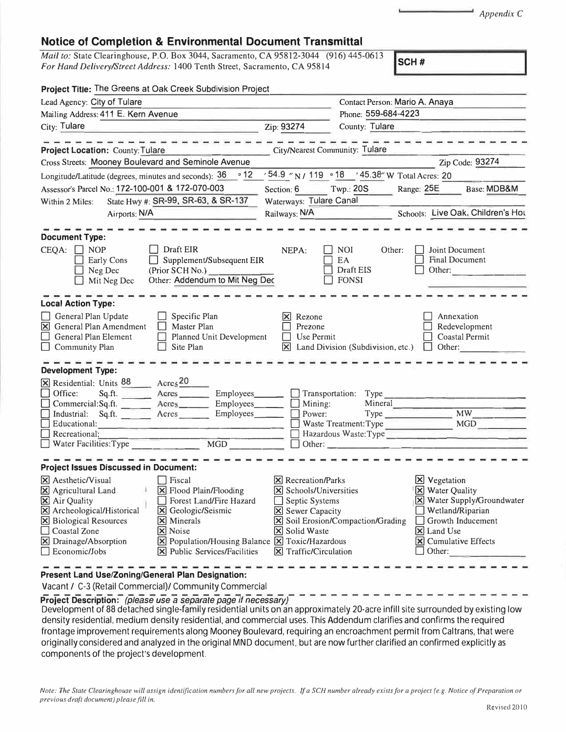*Appendix* C

## **Notice of Completion & Environmental Document Transmittal**

*Mail to:* State Clearinghouse, P.O. Box 3044, Sacramento, CA 95812-3044 (916) 445-0613 *For Hand Delivery/Street Address:* 1400 Tenth Street, Sacramento, CA 95814

| Project Title: The Greens at Oak Creek Subdivision Project                                                                                                                                                                                                     |                                                                                                                                                                                                                              |                                                                                                                                                                                                       |                                               |                                                                       |                                                                                             |  |
|----------------------------------------------------------------------------------------------------------------------------------------------------------------------------------------------------------------------------------------------------------------|------------------------------------------------------------------------------------------------------------------------------------------------------------------------------------------------------------------------------|-------------------------------------------------------------------------------------------------------------------------------------------------------------------------------------------------------|-----------------------------------------------|-----------------------------------------------------------------------|---------------------------------------------------------------------------------------------|--|
| Lead Agency: City of Tulare                                                                                                                                                                                                                                    |                                                                                                                                                                                                                              |                                                                                                                                                                                                       | Contact Person: Mario A. Anaya                |                                                                       |                                                                                             |  |
| Mailing Address: 411 E. Kern Avenue                                                                                                                                                                                                                            |                                                                                                                                                                                                                              | Phone: 559-684-4223                                                                                                                                                                                   |                                               |                                                                       |                                                                                             |  |
| City: Tulare                                                                                                                                                                                                                                                   | Zip: 93274                                                                                                                                                                                                                   | County: Tulare                                                                                                                                                                                        |                                               |                                                                       |                                                                                             |  |
| <b>Project Location: County: Tulare</b>                                                                                                                                                                                                                        |                                                                                                                                                                                                                              |                                                                                                                                                                                                       | City/Nearest Community: Tulare                |                                                                       |                                                                                             |  |
| Cross Streets: Mooney Boulevard and Seminole Avenue                                                                                                                                                                                                            |                                                                                                                                                                                                                              |                                                                                                                                                                                                       |                                               |                                                                       | Zip Code: 93274                                                                             |  |
| Longitude/Latitude (degrees, minutes and seconds): 36                                                                                                                                                                                                          | $\circ$ 12                                                                                                                                                                                                                   | '54.9 "N / 119 .18 '45.38" W Total Acres: 20                                                                                                                                                          |                                               |                                                                       |                                                                                             |  |
| Assessor's Parcel No.: 172-100-001 & 172-070-003                                                                                                                                                                                                               | Section: 6                                                                                                                                                                                                                   | Twp.: 20S                                                                                                                                                                                             | Range: 25E                                    | Base: MDB&M                                                           |                                                                                             |  |
| State Hwy #: SR-99, SR-63, & SR-137<br>Within 2 Miles:                                                                                                                                                                                                         |                                                                                                                                                                                                                              | Waterways: Tulare Canal                                                                                                                                                                               |                                               |                                                                       |                                                                                             |  |
| Airports: N/A                                                                                                                                                                                                                                                  |                                                                                                                                                                                                                              | Railways: N/A                                                                                                                                                                                         |                                               |                                                                       | Schools: Live Oak, Children's Hou                                                           |  |
| <b>Document Type:</b><br>CEQA:<br><b>NOP</b><br>Early Cons<br>Neg Dec<br>Mit Neg Dec                                                                                                                                                                           | Draft EIR<br>Supplement/Subsequent EIR<br>(Prior SCH No.)<br>Other: Addendum to Mit Neg Dec                                                                                                                                  | NEPA:                                                                                                                                                                                                 | <b>NOI</b><br>EA<br>Draft EIS<br><b>FONSI</b> | Other:<br>Other:                                                      | Joint Document<br><b>Final Document</b>                                                     |  |
| <b>Local Action Type:</b><br>General Plan Update<br>$\boxtimes$ General Plan Amendment<br>General Plan Element<br>$\Box$ Community Plan                                                                                                                        | Rezone<br>Prezone<br>Planned Unit Development<br>Use Permit<br>⊠                                                                                                                                                             | Land Division (Subdivision, etc.)                                                                                                                                                                     | Other:                                        | Annexation<br>Redevelopment<br><b>Coastal Permit</b>                  |                                                                                             |  |
| <b>Development Type:</b><br><b>X</b> Residential: Units 88<br>Office:<br>Sq.ft.<br>Commercial:Sq.ft.<br>Industrial:<br>Sq.fit.<br>Educational:<br>Recreational:<br>Water Facilities: Type                                                                      | Acres <sub>20</sub><br>Acres<br>Employees_<br>Acres<br>Employees___<br>Acres<br>Employees_____<br>$\overline{MGD}$                                                                                                           | $\Box$ Transportation:<br>$\Box$ Mining:<br>Power:                                                                                                                                                    | Type<br>Hazardous Waste: Type                 | Mineral                                                               | Waste Treatment: Type MGD                                                                   |  |
| <b>Project Issues Discussed in Document:</b><br>$\boxtimes$ Aesthetic/Visual<br>X Agricultural Land<br><b>X</b> Air Quality<br>X Archeological/Historical<br>$\boxtimes$ Biological Resources<br>$\Box$ Coastal Zone<br>X Drainage/Absorption<br>Economic/Jobs | Fiscal<br>X Flood Plain/Flooding<br>Forest Land/Fire Hazard<br>Geologic/Seismic<br>$\mathbf{\mathsf{X}}$<br>$\times$ Minerals<br>X Noise<br>X Population/Housing Balance X Toxic/Hazardous<br>[X] Public Services/Facilities | $\triangleright$ Recreation/Parks<br>$\triangleright$ Schools/Universities<br>$\Box$ Septic Systems<br>$\boxtimes$ Sewer Capacity<br><b>X</b> Solid Waste<br>$\boxed{\mathsf{X}}$ Traffic/Circulation | <b>X</b> Soil Erosion/Compaction/Grading      | <b>X</b> Vegetation<br><b>X</b> Water Quality<br>X Land Use<br>Other: | X Water Supply/Groundwater<br>Wetland/Riparian<br>Growth Inducement<br>X Cumulative Effects |  |
|                                                                                                                                                                                                                                                                |                                                                                                                                                                                                                              |                                                                                                                                                                                                       |                                               |                                                                       |                                                                                             |  |

**Present Land Use/Zoning/General Plan Designation:** 

Vacant/ C-3 (Retail Commercial)/ Community Commercial

**Project Description:** *{please use a separate page if necessary)* 

Development of 88 detached single-family residential units on an approximately 20-acre infill site surrounded by existing low density residential, medium density residential, and commercial uses. This Addendum clarifies and confirms the required frontage improvement requirements along Mooney Boulevard, requiring an encroachment permit from Caltrans, that were originally considered and analyzed in the original MND document, but are now further clarified an confirmed explicitly as components of the project's development.

*Note: The State Clearinghouse will assign identification numbers for all new projects. If a SCH number already exists for a project ( e.g. Notice of Preparation or previous drqfi document) please fill in.*